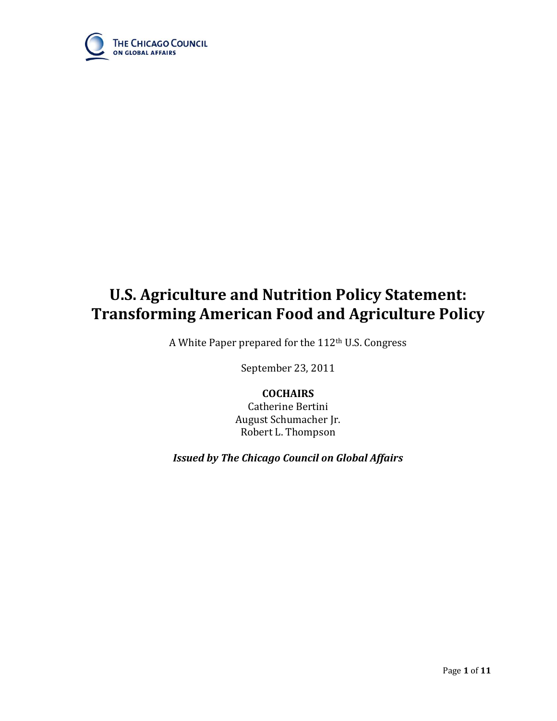

# **U.S. Agriculture and Nutrition Policy Statement: Transforming American Food and Agriculture Policy**

A White Paper prepared for the 112th U.S. Congress

September 23, 2011

# **COCHAIRS**

Catherine Bertini August Schumacher Jr. Robert L. Thompson

*Issued by The Chicago Council on Global Affairs*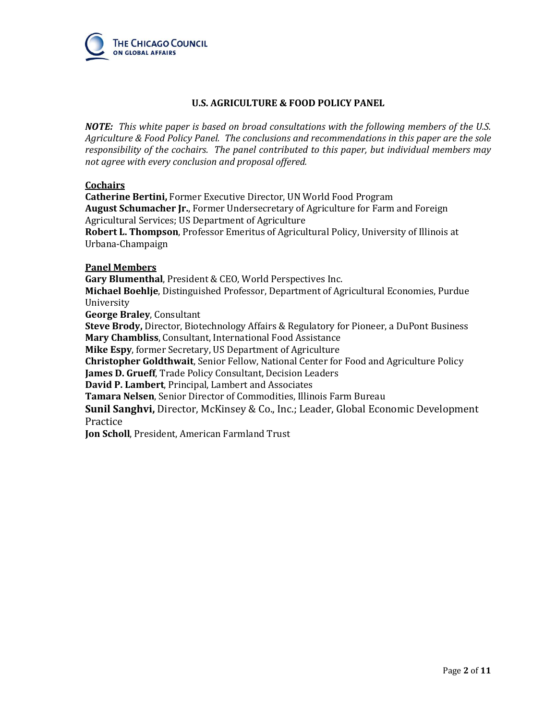

# **U.S. AGRICULTURE & FOOD POLICY PANEL**

*NOTE: This white paper is based on broad consultations with the following members of the U.S. Agriculture & Food Policy Panel. The conclusions and recommendations in this paper are the sole responsibility of the cochairs. The panel contributed to this paper, but individual members may not agree with every conclusion and proposal offered.* 

## **Cochairs**

**Catherine Bertini,** Former Executive Director, UN World Food Program **August Schumacher Jr.**, Former Undersecretary of Agriculture for Farm and Foreign Agricultural Services; US Department of Agriculture **Robert L. Thompson**, Professor Emeritus of Agricultural Policy, University of Illinois at Urbana-Champaign

## **Panel Members**

**Gary Blumenthal**, President & CEO, World Perspectives Inc. **Michael Boehlje**, Distinguished Professor, Department of Agricultural Economies, Purdue University **George Braley**, Consultant **Steve Brody,** Director, Biotechnology Affairs & Regulatory for Pioneer, a DuPont Business **Mary Chambliss**, Consultant, International Food Assistance **Mike Espy**, former Secretary, US Department of Agriculture

**Christopher Goldthwait**, Senior Fellow, National Center for Food and Agriculture Policy **James D. Grueff**, Trade Policy Consultant, Decision Leaders

**David P. Lambert**, Principal, Lambert and Associates

**Tamara Nelsen**, Senior Director of Commodities, Illinois Farm Bureau

**Sunil Sanghvi,** Director, McKinsey & Co., Inc.; Leader, Global Economic Development Practice

**Jon Scholl**, President, American Farmland Trust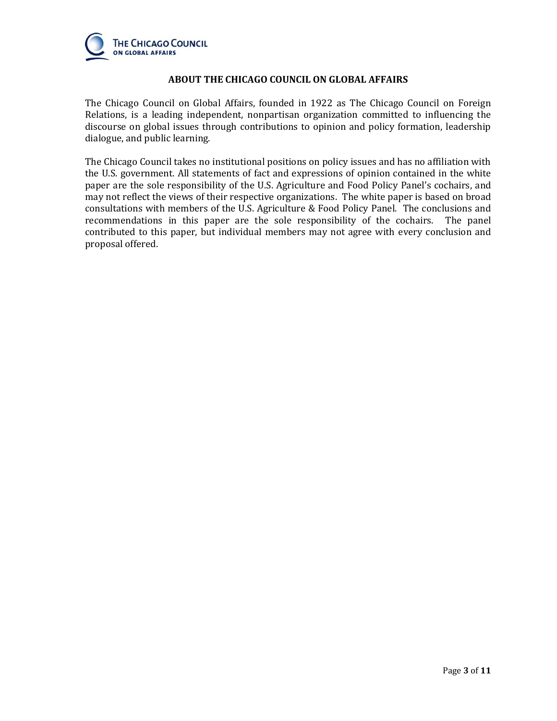

## **ABOUT THE CHICAGO COUNCIL ON GLOBAL AFFAIRS**

The Chicago Council on Global Affairs, founded in 1922 as The Chicago Council on Foreign Relations, is a leading independent, nonpartisan organization committed to influencing the discourse on global issues through contributions to opinion and policy formation, leadership dialogue, and public learning.

The Chicago Council takes no institutional positions on policy issues and has no affiliation with the U.S. government. All statements of fact and expressions of opinion contained in the white paper are the sole responsibility of the U.S. Agriculture and Food Policy Panel's cochairs, and may not reflect the views of their respective organizations. The white paper is based on broad consultations with members of the U.S. Agriculture & Food Policy Panel. The conclusions and recommendations in this paper are the sole responsibility of the cochairs. The panel contributed to this paper, but individual members may not agree with every conclusion and proposal offered.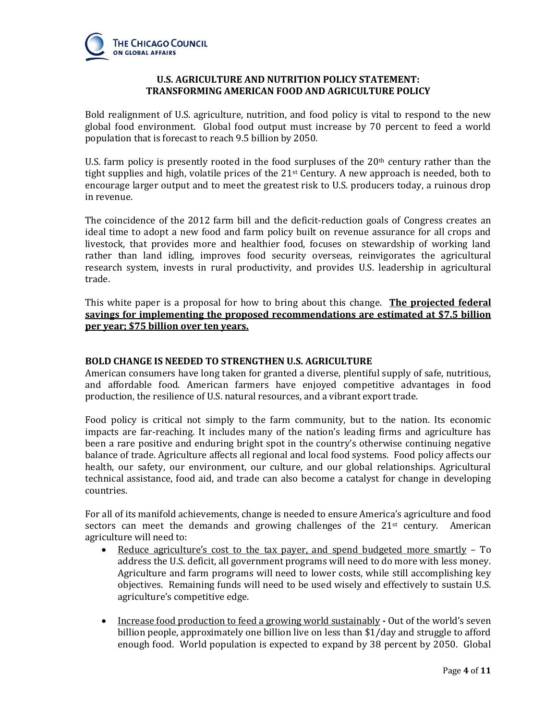

# **U.S. AGRICULTURE AND NUTRITION POLICY STATEMENT: TRANSFORMING AMERICAN FOOD AND AGRICULTURE POLICY**

Bold realignment of U.S. agriculture, nutrition, and food policy is vital to respond to the new global food environment. Global food output must increase by 70 percent to feed a world population that is forecast to reach 9.5 billion by 2050.

U.S. farm policy is presently rooted in the food surpluses of the  $20<sup>th</sup>$  century rather than the tight supplies and high, volatile prices of the  $21<sup>st</sup>$  Century. A new approach is needed, both to encourage larger output and to meet the greatest risk to U.S. producers today, a ruinous drop in revenue.

The coincidence of the 2012 farm bill and the deficit-reduction goals of Congress creates an ideal time to adopt a new food and farm policy built on revenue assurance for all crops and livestock, that provides more and healthier food, focuses on stewardship of working land rather than land idling, improves food security overseas, reinvigorates the agricultural research system, invests in rural productivity, and provides U.S. leadership in agricultural trade.

This white paper is a proposal for how to bring about this change. **The projected federal savings for implementing the proposed recommendations are estimated at \$7.5 billion per year; \$75 billion over ten years.** 

# **BOLD CHANGE IS NEEDED TO STRENGTHEN U.S. AGRICULTURE**

American consumers have long taken for granted a diverse, plentiful supply of safe, nutritious, and affordable food. American farmers have enjoyed competitive advantages in food production, the resilience of U.S. natural resources, and a vibrant export trade.

Food policy is critical not simply to the farm community, but to the nation. Its economic impacts are far-reaching. It includes many of the nation's leading firms and agriculture has been a rare positive and enduring bright spot in the country's otherwise continuing negative balance of trade. Agriculture affects all regional and local food systems. Food policy affects our health, our safety, our environment, our culture, and our global relationships. Agricultural technical assistance, food aid, and trade can also become a catalyst for change in developing countries.

For all of its manifold achievements, change is needed to ensure America's agriculture and food sectors can meet the demands and growing challenges of the  $21<sup>st</sup>$  century. American agriculture will need to:

- Reduce agriculture's cost to the tax payer, and spend budgeted more smartly To address the U.S. deficit, all government programs will need to do more with less money. Agriculture and farm programs will need to lower costs, while still accomplishing key objectives. Remaining funds will need to be used wisely and effectively to sustain U.S. agriculture's competitive edge.
- Increase food production to feed a growing world sustainably **-** Out of the world's seven billion people, approximately one billion live on less than \$1/day and struggle to afford enough food. World population is expected to expand by 38 percent by 2050. Global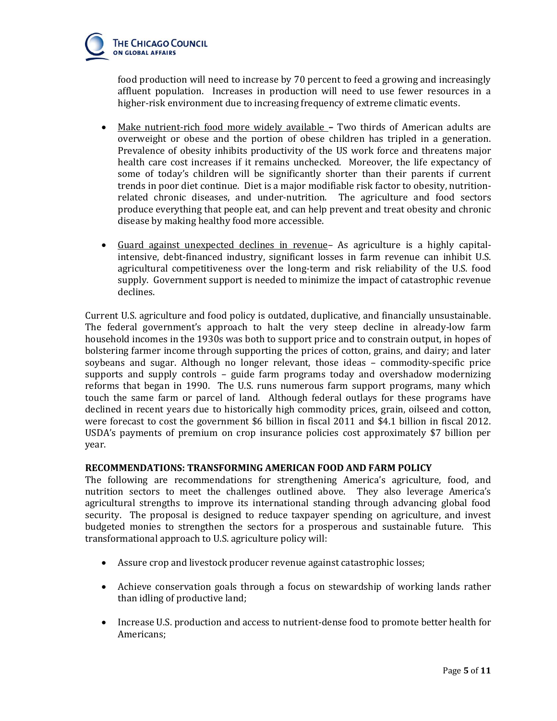

food production will need to increase by 70 percent to feed a growing and increasingly affluent population. Increases in production will need to use fewer resources in a higher-risk environment due to increasing frequency of extreme climatic events.

- Make nutrient-rich food more widely available **–** Two thirds of American adults are overweight or obese and the portion of obese children has tripled in a generation. Prevalence of obesity inhibits productivity of the US work force and threatens major health care cost increases if it remains unchecked. Moreover, the life expectancy of some of today's children will be significantly shorter than their parents if current trends in poor diet continue. Diet is a major modifiable risk factor to obesity, nutritionrelated chronic diseases, and under-nutrition. The agriculture and food sectors produce everything that people eat, and can help prevent and treat obesity and chronic disease by making healthy food more accessible.
- Guard against unexpected declines in revenue– As agriculture is a highly capitalintensive, debt-financed industry, significant losses in farm revenue can inhibit U.S. agricultural competitiveness over the long-term and risk reliability of the U.S. food supply. Government support is needed to minimize the impact of catastrophic revenue declines.

Current U.S. agriculture and food policy is outdated, duplicative, and financially unsustainable. The federal government's approach to halt the very steep decline in already-low farm household incomes in the 1930s was both to support price and to constrain output, in hopes of bolstering farmer income through supporting the prices of cotton, grains, and dairy; and later soybeans and sugar. Although no longer relevant, those ideas – commodity-specific price supports and supply controls – guide farm programs today and overshadow modernizing reforms that began in 1990. The U.S. runs numerous farm support programs, many which touch the same farm or parcel of land. Although federal outlays for these programs have declined in recent years due to historically high commodity prices, grain, oilseed and cotton, were forecast to cost the government \$6 billion in fiscal 2011 and \$4.1 billion in fiscal 2012. USDA's payments of premium on crop insurance policies cost approximately \$7 billion per year.

# **RECOMMENDATIONS: TRANSFORMING AMERICAN FOOD AND FARM POLICY**

The following are recommendations for strengthening America's agriculture, food, and nutrition sectors to meet the challenges outlined above. They also leverage America's agricultural strengths to improve its international standing through advancing global food security. The proposal is designed to reduce taxpayer spending on agriculture, and invest budgeted monies to strengthen the sectors for a prosperous and sustainable future. This transformational approach to U.S. agriculture policy will:

- Assure crop and livestock producer revenue against catastrophic losses;
- Achieve conservation goals through a focus on stewardship of working lands rather than idling of productive land;
- Increase U.S. production and access to nutrient-dense food to promote better health for Americans;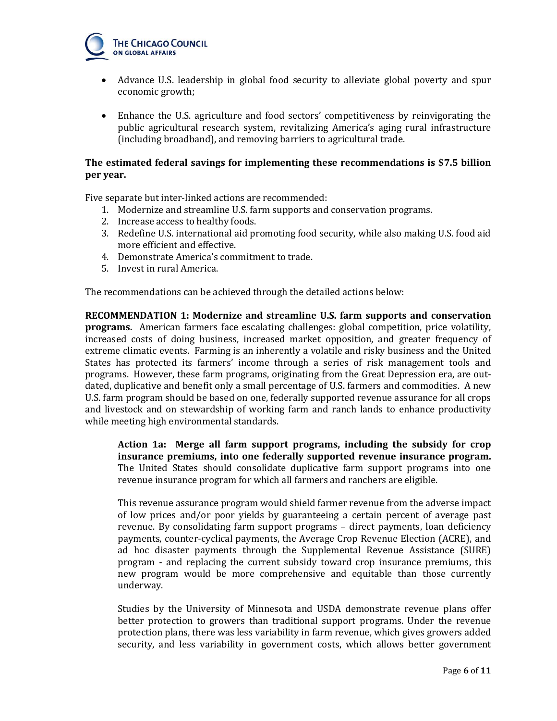

- Advance U.S. leadership in global food security to alleviate global poverty and spur economic growth;
- Enhance the U.S. agriculture and food sectors' competitiveness by reinvigorating the public agricultural research system, revitalizing America's aging rural infrastructure (including broadband), and removing barriers to agricultural trade.

# **The estimated federal savings for implementing these recommendations is \$7.5 billion per year.**

Five separate but inter-linked actions are recommended:

- 1. Modernize and streamline U.S. farm supports and conservation programs.
- 2. Increase access to healthy foods.
- 3. Redefine U.S. international aid promoting food security, while also making U.S. food aid more efficient and effective.
- 4. Demonstrate America's commitment to trade.
- 5. Invest in rural America.

The recommendations can be achieved through the detailed actions below:

**RECOMMENDATION 1: Modernize and streamline U.S. farm supports and conservation programs.** American farmers face escalating challenges: global competition, price volatility, increased costs of doing business, increased market opposition, and greater frequency of extreme climatic events. Farming is an inherently a volatile and risky business and the United States has protected its farmers' income through a series of risk management tools and programs. However, these farm programs, originating from the Great Depression era, are outdated, duplicative and benefit only a small percentage of U.S. farmers and commodities. A new U.S. farm program should be based on one, federally supported revenue assurance for all crops and livestock and on stewardship of working farm and ranch lands to enhance productivity while meeting high environmental standards.

**Action 1a: Merge all farm support programs, including the subsidy for crop insurance premiums, into one federally supported revenue insurance program.**  The United States should consolidate duplicative farm support programs into one revenue insurance program for which all farmers and ranchers are eligible.

This revenue assurance program would shield farmer revenue from the adverse impact of low prices and/or poor yields by guaranteeing a certain percent of average past revenue. By consolidating farm support programs – direct payments, loan deficiency payments, counter-cyclical payments, the Average Crop Revenue Election (ACRE), and ad hoc disaster payments through the Supplemental Revenue Assistance (SURE) program - and replacing the current subsidy toward crop insurance premiums, this new program would be more comprehensive and equitable than those currently underway.

Studies by the University of Minnesota and USDA demonstrate revenue plans offer better protection to growers than traditional support programs. Under the revenue protection plans, there was less variability in farm revenue, which gives growers added security, and less variability in government costs, which allows better government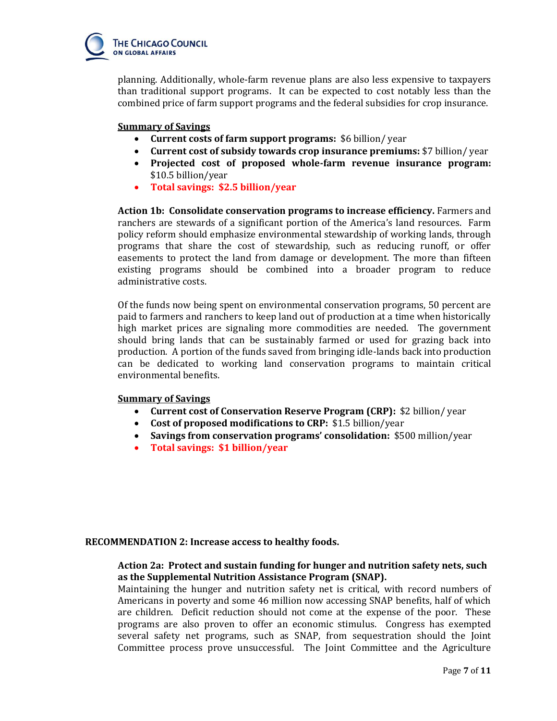

planning. Additionally, whole-farm revenue plans are also less expensive to taxpayers than traditional support programs. It can be expected to cost notably less than the combined price of farm support programs and the federal subsidies for crop insurance.

## **Summary of Savings**

- **Current costs of farm support programs:** \$6 billion/ year
- **Current cost of subsidy towards crop insurance premiums:** \$7 billion/ year
- **Projected cost of proposed whole-farm revenue insurance program:**  \$10.5 billion/year
- **Total savings: \$2.5 billion/year**

**Action 1b: Consolidate conservation programs to increase efficiency.** Farmers and ranchers are stewards of a significant portion of the America's land resources. Farm policy reform should emphasize environmental stewardship of working lands, through programs that share the cost of stewardship, such as reducing runoff, or offer easements to protect the land from damage or development. The more than fifteen existing programs should be combined into a broader program to reduce administrative costs.

Of the funds now being spent on environmental conservation programs, 50 percent are paid to farmers and ranchers to keep land out of production at a time when historically high market prices are signaling more commodities are needed. The government should bring lands that can be sustainably farmed or used for grazing back into production. A portion of the funds saved from bringing idle-lands back into production can be dedicated to working land conservation programs to maintain critical environmental benefits.

# **Summary of Savings**

- **Current cost of Conservation Reserve Program (CRP):** \$2 billion/ year
- **Cost of proposed modifications to CRP:** \$1.5 billion/year
- **Savings from conservation programs' consolidation:** \$500 million/year
- **Total savings: \$1 billion/year**

# **RECOMMENDATION 2: Increase access to healthy foods.**

# **Action 2a: Protect and sustain funding for hunger and nutrition safety nets, such as the Supplemental Nutrition Assistance Program (SNAP).**

Maintaining the hunger and nutrition safety net is critical, with record numbers of Americans in poverty and some 46 million now accessing SNAP benefits, half of which are children. Deficit reduction should not come at the expense of the poor. These programs are also proven to offer an economic stimulus. Congress has exempted several safety net programs, such as SNAP, from sequestration should the Joint Committee process prove unsuccessful. The Joint Committee and the Agriculture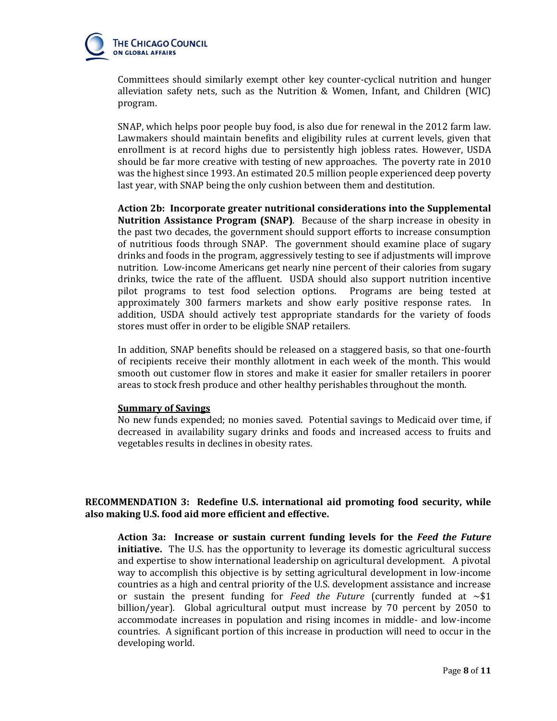

Committees should similarly exempt other key counter-cyclical nutrition and hunger alleviation safety nets, such as the Nutrition & Women, Infant, and Children (WIC) program.

SNAP, which helps poor people buy food, is also due for renewal in the 2012 farm law. Lawmakers should maintain benefits and eligibility rules at current levels, given that enrollment is at record highs due to persistently high jobless rates. However, USDA should be far more creative with testing of new approaches. The poverty rate in 2010 was the highest since 1993. An estimated 20.5 million people experienced deep poverty last year, with SNAP being the only cushion between them and destitution.

**Action 2b: Incorporate greater nutritional considerations into the Supplemental Nutrition Assistance Program (SNAP)**. Because of the sharp increase in obesity in the past two decades, the government should support efforts to increase consumption of nutritious foods through SNAP. The government should examine place of sugary drinks and foods in the program, aggressively testing to see if adjustments will improve nutrition. Low-income Americans get nearly nine percent of their calories from sugary drinks, twice the rate of the affluent. USDA should also support nutrition incentive pilot programs to test food selection options. Programs are being tested at approximately 300 farmers markets and show early positive response rates. In addition, USDA should actively test appropriate standards for the variety of foods stores must offer in order to be eligible SNAP retailers.

In addition, SNAP benefits should be released on a staggered basis, so that one-fourth of recipients receive their monthly allotment in each week of the month. This would smooth out customer flow in stores and make it easier for smaller retailers in poorer areas to stock fresh produce and other healthy perishables throughout the month.

#### **Summary of Savings**

No new funds expended; no monies saved. Potential savings to Medicaid over time, if decreased in availability sugary drinks and foods and increased access to fruits and vegetables results in declines in obesity rates.

# **RECOMMENDATION 3: Redefine U.S. international aid promoting food security, while also making U.S. food aid more efficient and effective.**

**Action 3a: Increase or sustain current funding levels for the** *Feed the Future* **initiative.** The U.S. has the opportunity to leverage its domestic agricultural success and expertise to show international leadership on agricultural development. A pivotal way to accomplish this objective is by setting agricultural development in low-income countries as a high and central priority of the U.S. development assistance and increase or sustain the present funding for *Feed the Future* (currently funded at  $\sim$ \$1 billion/year)*.* Global agricultural output must increase by 70 percent by 2050 to accommodate increases in population and rising incomes in middle- and low-income countries. A significant portion of this increase in production will need to occur in the developing world.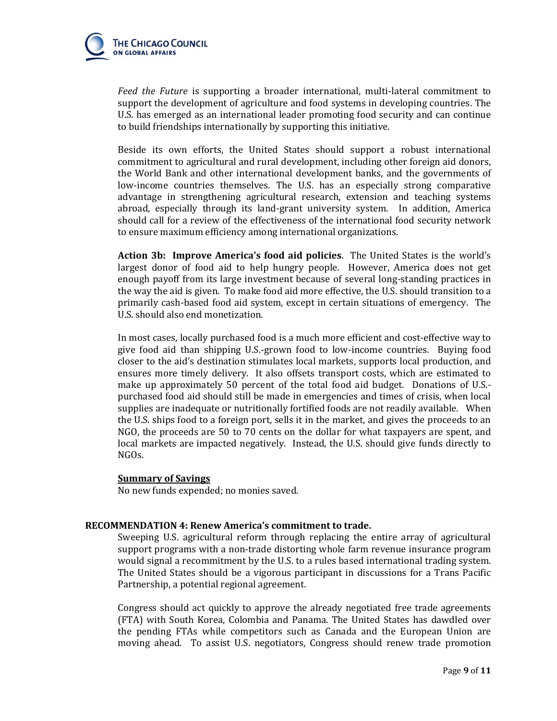

*Feed the Future* is supporting a broader international, multi-lateral commitment to support the development of agriculture and food systems in developing countries. The U.S. has emerged as an international leader promoting food security and can continue to build friendships internationally by supporting this initiative.

Beside its own efforts, the United States should support a robust international commitment to agricultural and rural development, including other foreign aid donors, the World Bank and other international development banks, and the governments of low-income countries themselves. The U.S. has an especially strong comparative advantage in strengthening agricultural research, extension and teaching systems abroad, especially through its land-grant university system. In addition, America should call for a review of the effectiveness of the international food security network to ensure maximum efficiency among international organizations.

**Action 3b: Improve America's food aid policies**. The United States is the world's largest donor of food aid to help hungry people. However, America does not get enough payoff from its large investment because of several long-standing practices in the way the aid is given. To make food aid more effective, the U.S. should transition to a primarily cash-based food aid system, except in certain situations of emergency. The U.S. should also end monetization.

In most cases, locally purchased food is a much more efficient and cost-effective way to give food aid than shipping U.S.-grown food to low-income countries. Buying food closer to the aid's destination stimulates local markets, supports local production, and ensures more timely delivery. It also offsets transport costs, which are estimated to make up approximately 50 percent of the total food aid budget. Donations of U.S. purchased food aid should still be made in emergencies and times of crisis, when local supplies are inadequate or nutritionally fortified foods are not readily available. When the U.S. ships food to a foreign port, sells it in the market, and gives the proceeds to an NGO, the proceeds are 50 to 70 cents on the dollar for what taxpayers are spent, and local markets are impacted negatively. Instead, the U.S. should give funds directly to NGOs.

#### **Summary of Savings**

No new funds expended; no monies saved.

## **RECOMMENDATION 4: Renew America's commitment to trade.**

Sweeping U.S. agricultural reform through replacing the entire array of agricultural support programs with a non-trade distorting whole farm revenue insurance program would signal a recommitment by the U.S. to a rules based international trading system. The United States should be a vigorous participant in discussions for a Trans Pacific Partnership, a potential regional agreement.

Congress should act quickly to approve the already negotiated free trade agreements (FTA) with South Korea, Colombia and Panama. The United States has dawdled over the pending FTAs while competitors such as Canada and the European Union are moving ahead. To assist U.S. negotiators, Congress should renew trade promotion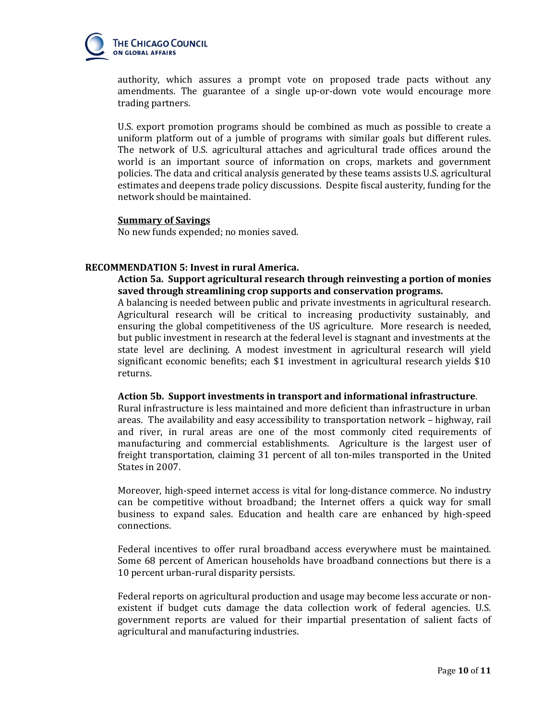

authority, which assures a prompt vote on proposed trade pacts without any amendments. The guarantee of a single up-or-down vote would encourage more trading partners.

U.S. export promotion programs should be combined as much as possible to create a uniform platform out of a jumble of programs with similar goals but different rules. The network of U.S. agricultural attaches and agricultural trade offices around the world is an important source of information on crops, markets and government policies. The data and critical analysis generated by these teams assists U.S. agricultural estimates and deepens trade policy discussions. Despite fiscal austerity, funding for the network should be maintained.

## **Summary of Savings**

No new funds expended; no monies saved.

# **RECOMMENDATION 5: Invest in rural America.**

# **Action 5a. Support agricultural research through reinvesting a portion of monies saved through streamlining crop supports and conservation programs.**

A balancing is needed between public and private investments in agricultural research. Agricultural research will be critical to increasing productivity sustainably, and ensuring the global competitiveness of the US agriculture. More research is needed, but public investment in research at the federal level is stagnant and investments at the state level are declining. A modest investment in agricultural research will yield significant economic benefits; each \$1 investment in agricultural research yields \$10 returns.

#### **Action 5b. Support investments in transport and informational infrastructure**.

Rural infrastructure is less maintained and more deficient than infrastructure in urban areas. The availability and easy accessibility to transportation network – highway, rail and river, in rural areas are one of the most commonly cited requirements of manufacturing and commercial establishments. Agriculture is the largest user of freight transportation, claiming 31 percent of all ton-miles transported in the United States in 2007.

Moreover, high-speed internet access is vital for long-distance commerce. No industry can be competitive without broadband; the Internet offers a quick way for small business to expand sales. Education and health care are enhanced by high-speed connections.

Federal incentives to offer rural broadband access everywhere must be maintained. Some 68 percent of American households have broadband connections but there is a 10 percent urban-rural disparity persists.

Federal reports on agricultural production and usage may become less accurate or nonexistent if budget cuts damage the data collection work of federal agencies. U.S. government reports are valued for their impartial presentation of salient facts of agricultural and manufacturing industries.